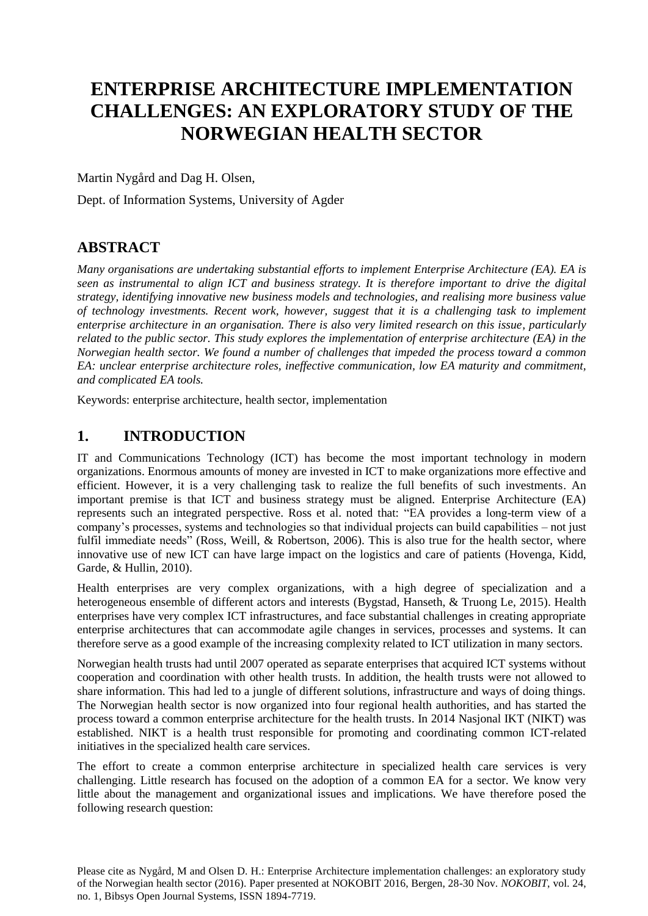# **ENTERPRISE ARCHITECTURE IMPLEMENTATION CHALLENGES: AN EXPLORATORY STUDY OF THE NORWEGIAN HEALTH SECTOR**

Martin Nygård and Dag H. Olsen,

Dept. of Information Systems, University of Agder

## **ABSTRACT**

*Many organisations are undertaking substantial efforts to implement Enterprise Architecture (EA). EA is seen as instrumental to align ICT and business strategy. It is therefore important to drive the digital strategy, identifying innovative new business models and technologies, and realising more business value of technology investments. Recent work, however, suggest that it is a challenging task to implement enterprise architecture in an organisation. There is also very limited research on this issue, particularly related to the public sector. This study explores the implementation of enterprise architecture (EA) in the Norwegian health sector. We found a number of challenges that impeded the process toward a common EA: unclear enterprise architecture roles, ineffective communication, low EA maturity and commitment, and complicated EA tools.*

Keywords: enterprise architecture, health sector, implementation

## **1. INTRODUCTION**

IT and Communications Technology (ICT) has become the most important technology in modern organizations. Enormous amounts of money are invested in ICT to make organizations more effective and efficient. However, it is a very challenging task to realize the full benefits of such investments. An important premise is that ICT and business strategy must be aligned. Enterprise Architecture (EA) represents such an integrated perspective. Ross et al. noted that: "EA provides a long-term view of a company's processes, systems and technologies so that individual projects can build capabilities – not just fulfil immediate needs" [\(Ross, Weill, & Robertson, 2006\)](#page-8-0). This is also true for the health sector, where innovative use of new ICT can have large impact on the logistics and care of patients [\(Hovenga, Kidd,](#page-7-0)  [Garde, & Hullin, 2010\)](#page-7-0).

Health enterprises are very complex organizations, with a high degree of specialization and a heterogeneous ensemble of different actors and interests [\(Bygstad, Hanseth, & Truong Le, 2015\)](#page-7-1). Health enterprises have very complex ICT infrastructures, and face substantial challenges in creating appropriate enterprise architectures that can accommodate agile changes in services, processes and systems. It can therefore serve as a good example of the increasing complexity related to ICT utilization in many sectors.

Norwegian health trusts had until 2007 operated as separate enterprises that acquired ICT systems without cooperation and coordination with other health trusts. In addition, the health trusts were not allowed to share information. This had led to a jungle of different solutions, infrastructure and ways of doing things. The Norwegian health sector is now organized into four regional health authorities, and has started the process toward a common enterprise architecture for the health trusts. In 2014 Nasjonal IKT (NIKT) was established. NIKT is a health trust responsible for promoting and coordinating common ICT-related initiatives in the specialized health care services.

The effort to create a common enterprise architecture in specialized health care services is very challenging. Little research has focused on the adoption of a common EA for a sector. We know very little about the management and organizational issues and implications. We have therefore posed the following research question:

Please cite as Nygård, M and Olsen D. H.: Enterprise Architecture implementation challenges: an exploratory study of the Norwegian health sector (2016). Paper presented at NOKOBIT 2016, Bergen, 28-30 Nov. *NOKOBIT*, vol. 24, no. 1, Bibsys Open Journal Systems, ISSN 1894-7719.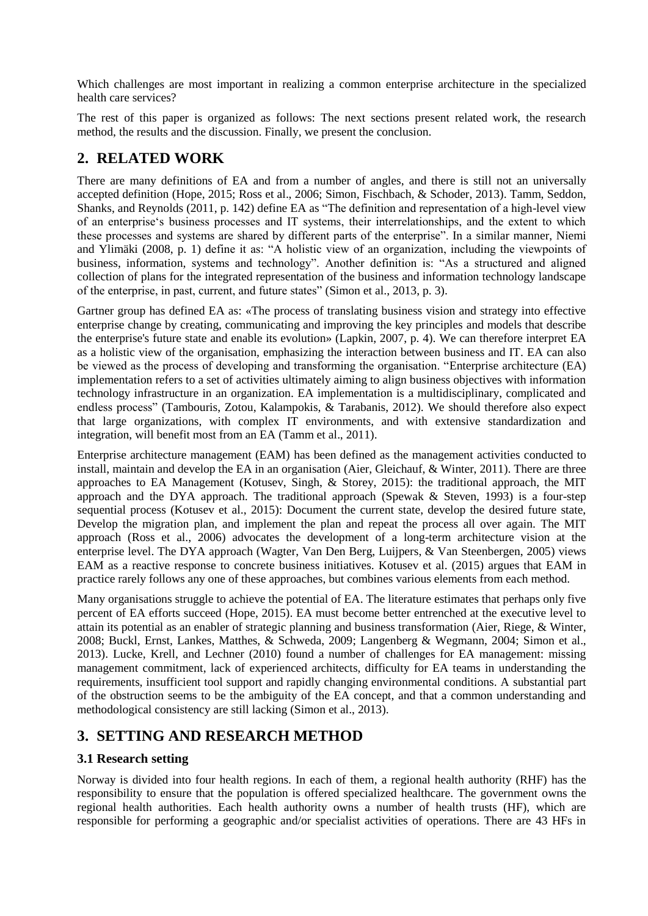Which challenges are most important in realizing a common enterprise architecture in the specialized health care services?

The rest of this paper is organized as follows: The next sections present related work, the research method, the results and the discussion. Finally, we present the conclusion.

## **2. RELATED WORK**

There are many definitions of EA and from a number of angles, and there is still not an universally accepted definition [\(Hope, 2015;](#page-7-2) [Ross et al., 2006;](#page-8-0) [Simon, Fischbach, & Schoder, 2013\)](#page-8-1). [Tamm, Seddon,](#page-8-2)  [Shanks, and Reynolds \(2011, p. 142\)](#page-8-2) define EA as "The definition and representation of a high-level view of an enterprise's business processes and IT systems, their interrelationships, and the extent to which these processes and systems are shared by different parts of the enterprise". In a similar manner, [Niemi](#page-7-3)  [and Ylimäki \(2008, p. 1\)](#page-7-3) define it as: "A holistic view of an organization, including the viewpoints of business, information, systems and technology". Another definition is: "As a structured and aligned collection of plans for the integrated representation of the business and information technology landscape of the enterprise, in past, current, and future states" [\(Simon et al., 2013, p. 3\)](#page-8-1).

Gartner group has defined EA as: «The process of translating business vision and strategy into effective enterprise change by creating, communicating and improving the key principles and models that describe the enterprise's future state and enable its evolution» [\(Lapkin, 2007, p. 4\)](#page-7-4). We can therefore interpret EA as a holistic view of the organisation, emphasizing the interaction between business and IT. EA can also be viewed as the process of developing and transforming the organisation. "Enterprise architecture (EA) implementation refers to a set of activities ultimately aiming to align business objectives with information technology infrastructure in an organization. EA implementation is a multidisciplinary, complicated and endless process" [\(Tambouris, Zotou, Kalampokis, & Tarabanis, 2012\)](#page-8-3). We should therefore also expect that large organizations, with complex IT environments, and with extensive standardization and integration, will benefit most from an EA [\(Tamm et al., 2011\)](#page-8-2).

Enterprise architecture management (EAM) has been defined as the management activities conducted to install, maintain and develop the EA in an organisation [\(Aier, Gleichauf, & Winter, 2011\)](#page-7-5). There are three approaches to EA Management [\(Kotusev, Singh, & Storey, 2015\)](#page-7-6): the traditional approach, the MIT approach and the DYA approach. The traditional approach [\(Spewak & Steven, 1993\)](#page-8-4) is a four-step sequential process [\(Kotusev et al., 2015\)](#page-7-6): Document the current state, develop the desired future state, Develop the migration plan, and implement the plan and repeat the process all over again. The MIT approach [\(Ross et al., 2006\)](#page-8-0) advocates the development of a long-term architecture vision at the enterprise level. The DYA approach [\(Wagter, Van Den Berg, Luijpers, & Van Steenbergen, 2005\)](#page-8-5) views EAM as a reactive response to concrete business initiatives. [Kotusev et al. \(2015\)](#page-7-6) argues that EAM in practice rarely follows any one of these approaches, but combines various elements from each method.

Many organisations struggle to achieve the potential of EA. The literature estimates that perhaps only five percent of EA efforts succeed [\(Hope, 2015\)](#page-7-2). EA must become better entrenched at the executive level to attain its potential as an enabler of strategic planning and business transformation [\(Aier, Riege, & Winter,](#page-7-7)  [2008;](#page-7-7) [Buckl, Ernst, Lankes, Matthes, & Schweda, 2009;](#page-7-8) [Langenberg & Wegmann, 2004;](#page-7-9) [Simon et al.,](#page-8-1)  [2013\)](#page-8-1). [Lucke, Krell, and Lechner \(2010\)](#page-7-10) found a number of challenges for EA management: missing management commitment, lack of experienced architects, difficulty for EA teams in understanding the requirements, insufficient tool support and rapidly changing environmental conditions. A substantial part of the obstruction seems to be the ambiguity of the EA concept, and that a common understanding and methodological consistency are still lacking [\(Simon et al., 2013\)](#page-8-1).

## **3. SETTING AND RESEARCH METHOD**

#### **3.1 Research setting**

Norway is divided into four health regions. In each of them, a regional health authority (RHF) has the responsibility to ensure that the population is offered specialized healthcare. The government owns the regional health authorities. Each health authority owns a number of health trusts (HF), which are responsible for performing a geographic and/or specialist activities of operations. There are 43 HFs in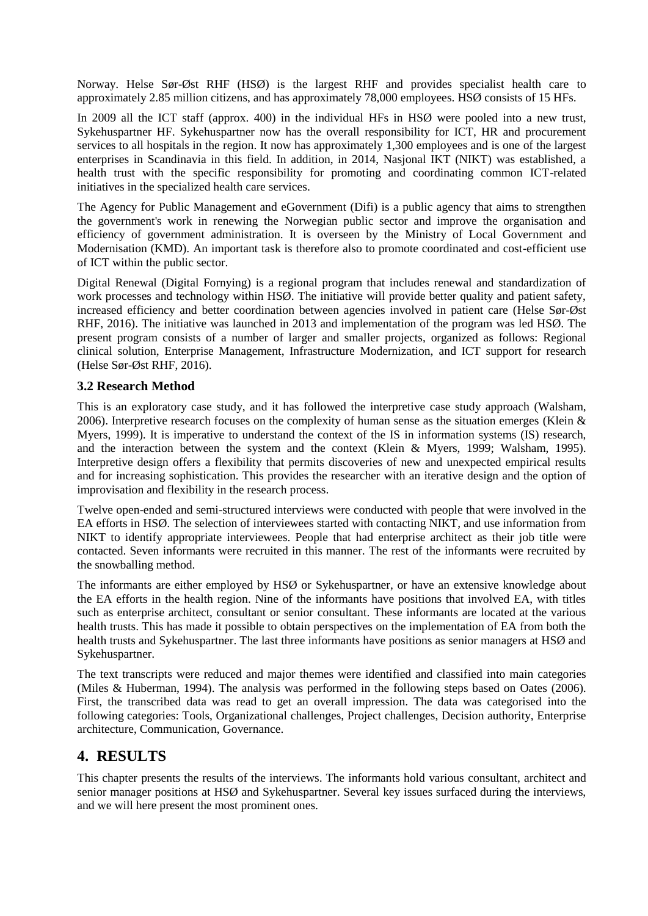Norway. Helse Sør-Øst RHF (HSØ) is the largest RHF and provides specialist health care to approximately 2.85 million citizens, and has approximately 78,000 employees. HSØ consists of 15 HFs.

In 2009 all the ICT staff (approx. 400) in the individual HFs in HSØ were pooled into a new trust, Sykehuspartner HF. Sykehuspartner now has the overall responsibility for ICT, HR and procurement services to all hospitals in the region. It now has approximately 1,300 employees and is one of the largest enterprises in Scandinavia in this field. In addition, in 2014, Nasjonal IKT (NIKT) was established, a health trust with the specific responsibility for promoting and coordinating common ICT-related initiatives in the specialized health care services.

The Agency for Public Management and eGovernment (Difi) is a public agency that aims to strengthen the government's work in renewing the Norwegian public sector and improve the organisation and efficiency of government administration. It is overseen by the Ministry of Local Government and Modernisation (KMD). An important task is therefore also to promote coordinated and cost-efficient use of ICT within the public sector.

Digital Renewal (Digital Fornying) is a regional program that includes renewal and standardization of work processes and technology within HSØ. The initiative will provide better quality and patient safety, increased efficiency and better coordination between agencies involved in patient care [\(Helse Sør-Øst](#page-7-11)  [RHF, 2016\)](#page-7-11). The initiative was launched in 2013 and implementation of the program was led HSØ. The present program consists of a number of larger and smaller projects, organized as follows: Regional clinical solution, Enterprise Management, Infrastructure Modernization, and ICT support for research [\(Helse Sør-Øst RHF, 2016\)](#page-7-11).

#### **3.2 Research Method**

This is an exploratory case study, and it has followed the interpretive case study approach [\(Walsham,](#page-8-6)  [2006\)](#page-8-6). Interpretive research focuses on the complexity of human sense as the situation emerges [\(Klein &](#page-7-12)  [Myers, 1999\)](#page-7-12). It is imperative to understand the context of the IS in information systems (IS) research, and the interaction between the system and the context [\(Klein & Myers, 1999;](#page-7-12) [Walsham, 1995\)](#page-8-7). Interpretive design offers a flexibility that permits discoveries of new and unexpected empirical results and for increasing sophistication. This provides the researcher with an iterative design and the option of improvisation and flexibility in the research process.

Twelve open-ended and semi-structured interviews were conducted with people that were involved in the EA efforts in HSØ. The selection of interviewees started with contacting NIKT, and use information from NIKT to identify appropriate interviewees. People that had enterprise architect as their job title were contacted. Seven informants were recruited in this manner. The rest of the informants were recruited by the snowballing method.

The informants are either employed by HSØ or Sykehuspartner, or have an extensive knowledge about the EA efforts in the health region. Nine of the informants have positions that involved EA, with titles such as enterprise architect, consultant or senior consultant. These informants are located at the various health trusts. This has made it possible to obtain perspectives on the implementation of EA from both the health trusts and Sykehuspartner. The last three informants have positions as senior managers at HSØ and Sykehuspartner.

The text transcripts were reduced and major themes were identified and classified into main categories [\(Miles & Huberman, 1994\)](#page-7-13). The analysis was performed in the following steps based on [Oates \(2006\)](#page-8-8). First, the transcribed data was read to get an overall impression. The data was categorised into the following categories: Tools, Organizational challenges, Project challenges, Decision authority, Enterprise architecture, Communication, Governance.

### **4. RESULTS**

This chapter presents the results of the interviews. The informants hold various consultant, architect and senior manager positions at HSØ and Sykehuspartner. Several key issues surfaced during the interviews, and we will here present the most prominent ones.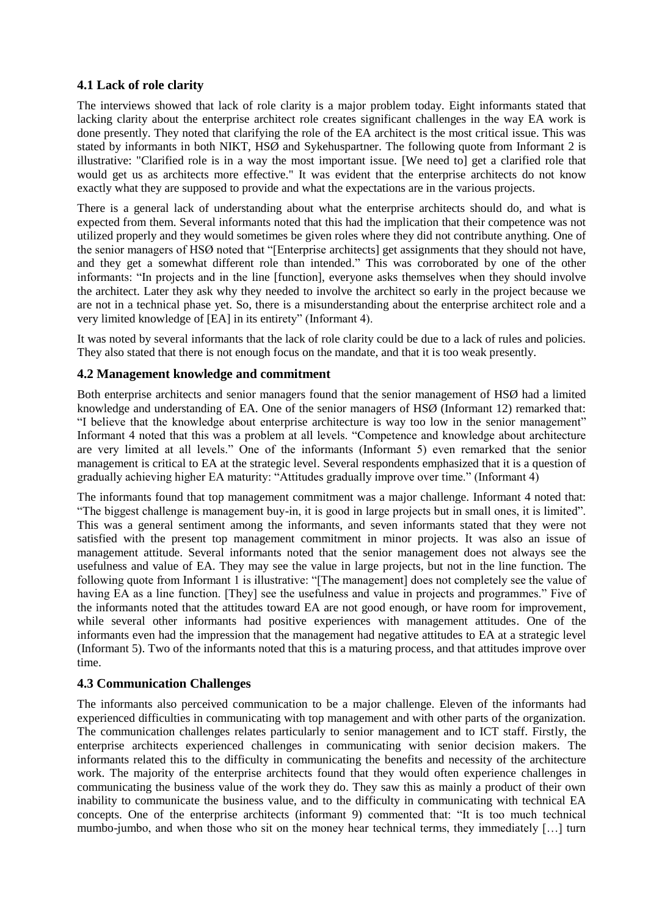#### **4.1 Lack of role clarity**

The interviews showed that lack of role clarity is a major problem today. Eight informants stated that lacking clarity about the enterprise architect role creates significant challenges in the way EA work is done presently. They noted that clarifying the role of the EA architect is the most critical issue. This was stated by informants in both NIKT, HSØ and Sykehuspartner. The following quote from Informant 2 is illustrative: "Clarified role is in a way the most important issue. [We need to] get a clarified role that would get us as architects more effective." It was evident that the enterprise architects do not know exactly what they are supposed to provide and what the expectations are in the various projects.

There is a general lack of understanding about what the enterprise architects should do, and what is expected from them. Several informants noted that this had the implication that their competence was not utilized properly and they would sometimes be given roles where they did not contribute anything. One of the senior managers of HSØ noted that "[Enterprise architects] get assignments that they should not have, and they get a somewhat different role than intended." This was corroborated by one of the other informants: "In projects and in the line [function], everyone asks themselves when they should involve the architect. Later they ask why they needed to involve the architect so early in the project because we are not in a technical phase yet. So, there is a misunderstanding about the enterprise architect role and a very limited knowledge of [EA] in its entirety" (Informant 4).

It was noted by several informants that the lack of role clarity could be due to a lack of rules and policies. They also stated that there is not enough focus on the mandate, and that it is too weak presently.

#### **4.2 Management knowledge and commitment**

Both enterprise architects and senior managers found that the senior management of HSØ had a limited knowledge and understanding of EA. One of the senior managers of HSØ (Informant 12) remarked that: "I believe that the knowledge about enterprise architecture is way too low in the senior management" Informant 4 noted that this was a problem at all levels. "Competence and knowledge about architecture are very limited at all levels." One of the informants (Informant 5) even remarked that the senior management is critical to EA at the strategic level. Several respondents emphasized that it is a question of gradually achieving higher EA maturity: "Attitudes gradually improve over time." (Informant 4)

The informants found that top management commitment was a major challenge. Informant 4 noted that: "The biggest challenge is management buy-in, it is good in large projects but in small ones, it is limited". This was a general sentiment among the informants, and seven informants stated that they were not satisfied with the present top management commitment in minor projects. It was also an issue of management attitude. Several informants noted that the senior management does not always see the usefulness and value of EA. They may see the value in large projects, but not in the line function. The following quote from Informant 1 is illustrative: "[The management] does not completely see the value of having EA as a line function. [They] see the usefulness and value in projects and programmes." Five of the informants noted that the attitudes toward EA are not good enough, or have room for improvement, while several other informants had positive experiences with management attitudes. One of the informants even had the impression that the management had negative attitudes to EA at a strategic level (Informant 5). Two of the informants noted that this is a maturing process, and that attitudes improve over time.

#### **4.3 Communication Challenges**

The informants also perceived communication to be a major challenge. Eleven of the informants had experienced difficulties in communicating with top management and with other parts of the organization. The communication challenges relates particularly to senior management and to ICT staff. Firstly, the enterprise architects experienced challenges in communicating with senior decision makers. The informants related this to the difficulty in communicating the benefits and necessity of the architecture work. The majority of the enterprise architects found that they would often experience challenges in communicating the business value of the work they do. They saw this as mainly a product of their own inability to communicate the business value, and to the difficulty in communicating with technical EA concepts. One of the enterprise architects (informant 9) commented that: "It is too much technical mumbo-jumbo, and when those who sit on the money hear technical terms, they immediately […] turn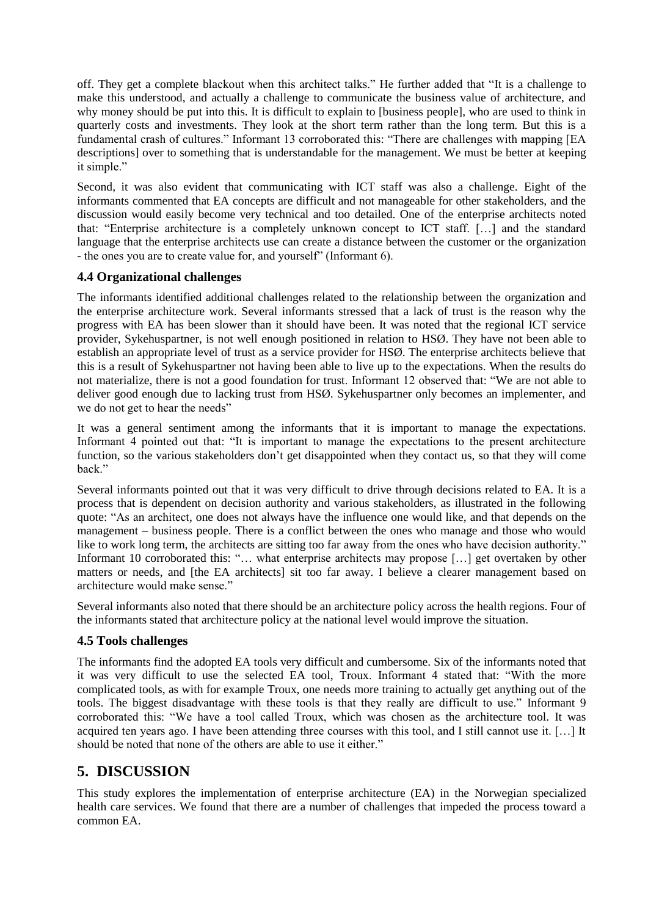off. They get a complete blackout when this architect talks." He further added that "It is a challenge to make this understood, and actually a challenge to communicate the business value of architecture, and why money should be put into this. It is difficult to explain to [business people], who are used to think in quarterly costs and investments. They look at the short term rather than the long term. But this is a fundamental crash of cultures." Informant 13 corroborated this: "There are challenges with mapping [EA descriptions] over to something that is understandable for the management. We must be better at keeping it simple."

Second, it was also evident that communicating with ICT staff was also a challenge. Eight of the informants commented that EA concepts are difficult and not manageable for other stakeholders, and the discussion would easily become very technical and too detailed. One of the enterprise architects noted that: "Enterprise architecture is a completely unknown concept to ICT staff. […] and the standard language that the enterprise architects use can create a distance between the customer or the organization - the ones you are to create value for, and yourself" (Informant 6).

#### **4.4 Organizational challenges**

The informants identified additional challenges related to the relationship between the organization and the enterprise architecture work. Several informants stressed that a lack of trust is the reason why the progress with EA has been slower than it should have been. It was noted that the regional ICT service provider, Sykehuspartner, is not well enough positioned in relation to HSØ. They have not been able to establish an appropriate level of trust as a service provider for HSØ. The enterprise architects believe that this is a result of Sykehuspartner not having been able to live up to the expectations. When the results do not materialize, there is not a good foundation for trust. Informant 12 observed that: "We are not able to deliver good enough due to lacking trust from HSØ. Sykehuspartner only becomes an implementer, and we do not get to hear the needs"

It was a general sentiment among the informants that it is important to manage the expectations. Informant 4 pointed out that: "It is important to manage the expectations to the present architecture function, so the various stakeholders don't get disappointed when they contact us, so that they will come back."

Several informants pointed out that it was very difficult to drive through decisions related to EA. It is a process that is dependent on decision authority and various stakeholders, as illustrated in the following quote: "As an architect, one does not always have the influence one would like, and that depends on the management – business people. There is a conflict between the ones who manage and those who would like to work long term, the architects are sitting too far away from the ones who have decision authority." Informant 10 corroborated this: "… what enterprise architects may propose […] get overtaken by other matters or needs, and [the EA architects] sit too far away. I believe a clearer management based on architecture would make sense."

Several informants also noted that there should be an architecture policy across the health regions. Four of the informants stated that architecture policy at the national level would improve the situation.

#### **4.5 Tools challenges**

The informants find the adopted EA tools very difficult and cumbersome. Six of the informants noted that it was very difficult to use the selected EA tool, Troux. Informant 4 stated that: "With the more complicated tools, as with for example Troux, one needs more training to actually get anything out of the tools. The biggest disadvantage with these tools is that they really are difficult to use." Informant 9 corroborated this: "We have a tool called Troux, which was chosen as the architecture tool. It was acquired ten years ago. I have been attending three courses with this tool, and I still cannot use it. […] It should be noted that none of the others are able to use it either."

## **5. DISCUSSION**

This study explores the implementation of enterprise architecture (EA) in the Norwegian specialized health care services. We found that there are a number of challenges that impeded the process toward a common EA.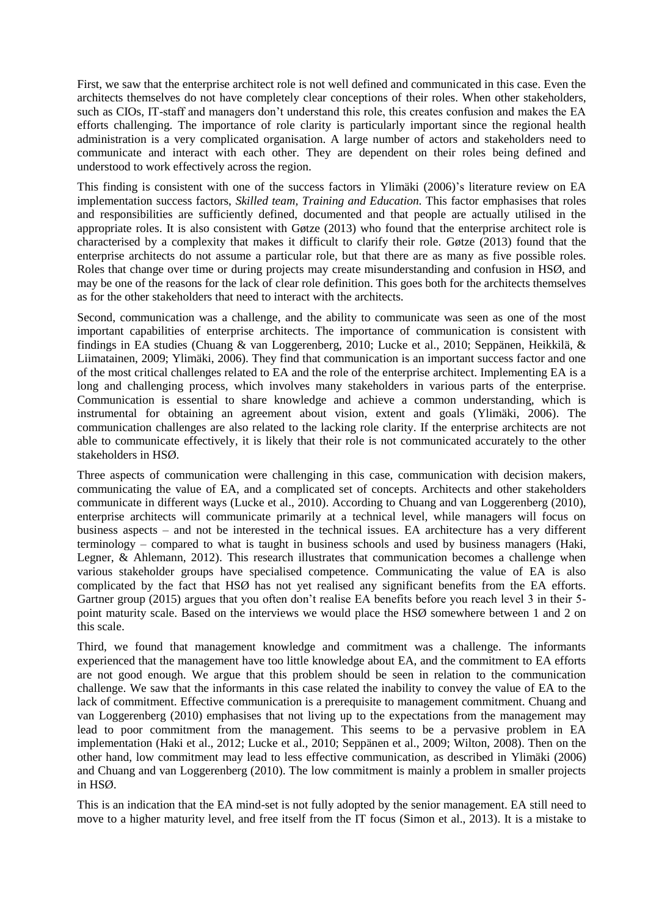First, we saw that the enterprise architect role is not well defined and communicated in this case. Even the architects themselves do not have completely clear conceptions of their roles. When other stakeholders, such as CIOs, IT-staff and managers don't understand this role, this creates confusion and makes the EA efforts challenging. The importance of role clarity is particularly important since the regional health administration is a very complicated organisation. A large number of actors and stakeholders need to communicate and interact with each other. They are dependent on their roles being defined and understood to work effectively across the region.

This finding is consistent with one of the success factors in [Ylimäki \(2006\)](#page-8-9)'s literature review on EA implementation success factors, *Skilled team, Training and Education.* This factor emphasises that roles and responsibilities are sufficiently defined, documented and that people are actually utilised in the appropriate roles. It is also consistent with [Gøtze \(2013\)](#page-7-14) who found that the enterprise architect role is characterised by a complexity that makes it difficult to clarify their role. [Gøtze \(2013\)](#page-7-14) found that the enterprise architects do not assume a particular role, but that there are as many as five possible roles. Roles that change over time or during projects may create misunderstanding and confusion in HSØ, and may be one of the reasons for the lack of clear role definition. This goes both for the architects themselves as for the other stakeholders that need to interact with the architects.

Second, communication was a challenge, and the ability to communicate was seen as one of the most important capabilities of enterprise architects. The importance of communication is consistent with findings in EA studies [\(Chuang & van Loggerenberg, 2010;](#page-7-15) [Lucke et al., 2010;](#page-7-10) [Seppänen, Heikkilä, &](#page-8-10)  [Liimatainen, 2009;](#page-8-10) [Ylimäki, 2006\)](#page-8-9). They find that communication is an important success factor and one of the most critical challenges related to EA and the role of the enterprise architect. Implementing EA is a long and challenging process, which involves many stakeholders in various parts of the enterprise. Communication is essential to share knowledge and achieve a common understanding, which is instrumental for obtaining an agreement about vision, extent and goals [\(Ylimäki, 2006\)](#page-8-9). The communication challenges are also related to the lacking role clarity. If the enterprise architects are not able to communicate effectively, it is likely that their role is not communicated accurately to the other stakeholders in HSØ.

Three aspects of communication were challenging in this case, communication with decision makers, communicating the value of EA, and a complicated set of concepts. Architects and other stakeholders communicate in different ways [\(Lucke et al., 2010\)](#page-7-10). According to [Chuang and van Loggerenberg \(2010\)](#page-7-15), enterprise architects will communicate primarily at a technical level, while managers will focus on business aspects – and not be interested in the technical issues. EA architecture has a very different terminology – compared to what is taught in business schools and used by business managers [\(Haki,](#page-7-16)  [Legner, & Ahlemann, 2012\)](#page-7-16). This research illustrates that communication becomes a challenge when various stakeholder groups have specialised competence. Communicating the value of EA is also complicated by the fact that HSØ has not yet realised any significant benefits from the EA efforts. [Gartner group \(2015\)](#page-7-17) argues that you often don't realise EA benefits before you reach level 3 in their 5point maturity scale. Based on the interviews we would place the HSØ somewhere between 1 and 2 on this scale.

Third, we found that management knowledge and commitment was a challenge. The informants experienced that the management have too little knowledge about EA, and the commitment to EA efforts are not good enough. We argue that this problem should be seen in relation to the communication challenge. We saw that the informants in this case related the inability to convey the value of EA to the lack of commitment. Effective communication is a prerequisite to management commitment. [Chuang and](#page-7-15)  [van Loggerenberg \(2010\)](#page-7-15) emphasises that not living up to the expectations from the management may lead to poor commitment from the management. This seems to be a pervasive problem in EA implementation [\(Haki et al., 2012;](#page-7-16) [Lucke et al., 2010;](#page-7-10) [Seppänen et al., 2009;](#page-8-10) [Wilton, 2008\)](#page-8-11). Then on the other hand, low commitment may lead to less effective communication, as described in [Ylimäki \(2006\)](#page-8-9) and [Chuang and van Loggerenberg \(2010\)](#page-7-15). The low commitment is mainly a problem in smaller projects in HSØ.

This is an indication that the EA mind-set is not fully adopted by the senior management. EA still need to move to a higher maturity level, and free itself from the IT focus [\(Simon et al., 2013\)](#page-8-1). It is a mistake to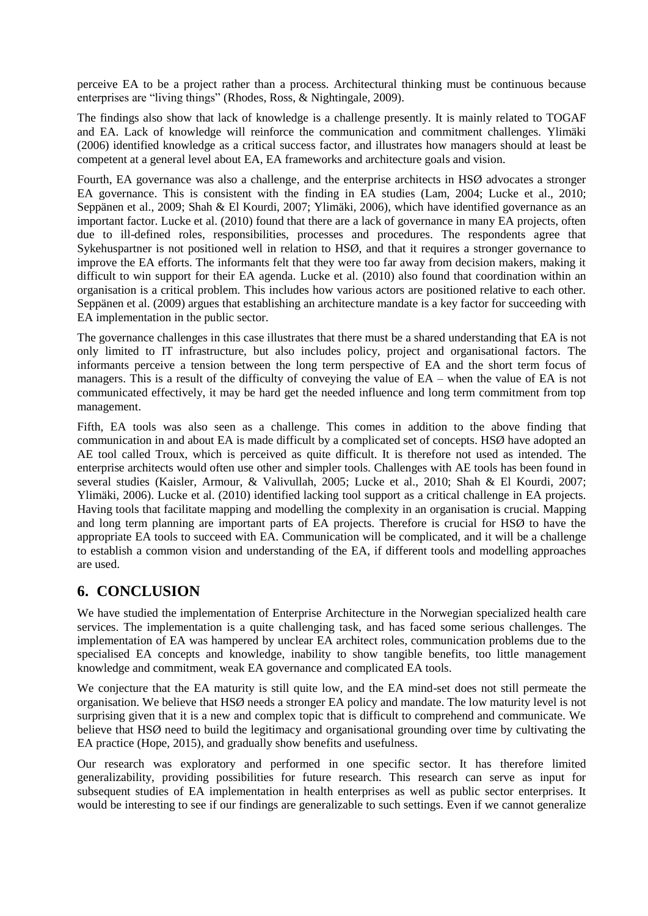perceive EA to be a project rather than a process. Architectural thinking must be continuous because enterprises are "living things" [\(Rhodes, Ross, & Nightingale, 2009\)](#page-8-12).

The findings also show that lack of knowledge is a challenge presently. It is mainly related to TOGAF and EA. Lack of knowledge will reinforce the communication and commitment challenges. [Ylimäki](#page-8-9)  [\(2006\)](#page-8-9) identified knowledge as a critical success factor, and illustrates how managers should at least be competent at a general level about EA, EA frameworks and architecture goals and vision.

Fourth, EA governance was also a challenge, and the enterprise architects in HSØ advocates a stronger EA governance. This is consistent with the finding in EA studies [\(Lam, 2004;](#page-7-18) [Lucke et al., 2010;](#page-7-10) [Seppänen et al., 2009;](#page-8-10) [Shah & El Kourdi, 2007;](#page-8-13) [Ylimäki, 2006\)](#page-8-9), which have identified governance as an important factor. [Lucke et al. \(2010\)](#page-7-10) found that there are a lack of governance in many EA projects, often due to ill-defined roles, responsibilities, processes and procedures. The respondents agree that Sykehuspartner is not positioned well in relation to HSØ, and that it requires a stronger governance to improve the EA efforts. The informants felt that they were too far away from decision makers, making it difficult to win support for their EA agenda. [Lucke et al. \(2010\)](#page-7-10) also found that coordination within an organisation is a critical problem. This includes how various actors are positioned relative to each other. [Seppänen et al. \(2009\)](#page-8-10) argues that establishing an architecture mandate is a key factor for succeeding with EA implementation in the public sector.

The governance challenges in this case illustrates that there must be a shared understanding that EA is not only limited to IT infrastructure, but also includes policy, project and organisational factors. The informants perceive a tension between the long term perspective of EA and the short term focus of managers. This is a result of the difficulty of conveying the value of EA – when the value of EA is not communicated effectively, it may be hard get the needed influence and long term commitment from top management.

Fifth, EA tools was also seen as a challenge. This comes in addition to the above finding that communication in and about EA is made difficult by a complicated set of concepts. HSØ have adopted an AE tool called Troux, which is perceived as quite difficult. It is therefore not used as intended. The enterprise architects would often use other and simpler tools. Challenges with AE tools has been found in several studies [\(Kaisler, Armour, & Valivullah, 2005;](#page-7-19) [Lucke et al., 2010;](#page-7-10) [Shah & El Kourdi, 2007;](#page-8-13) [Ylimäki, 2006\)](#page-8-9). [Lucke et al. \(2010\)](#page-7-10) identified lacking tool support as a critical challenge in EA projects. Having tools that facilitate mapping and modelling the complexity in an organisation is crucial. Mapping and long term planning are important parts of EA projects. Therefore is crucial for HSØ to have the appropriate EA tools to succeed with EA. Communication will be complicated, and it will be a challenge to establish a common vision and understanding of the EA, if different tools and modelling approaches are used.

## **6. CONCLUSION**

We have studied the implementation of Enterprise Architecture in the Norwegian specialized health care services. The implementation is a quite challenging task, and has faced some serious challenges. The implementation of EA was hampered by unclear EA architect roles, communication problems due to the specialised EA concepts and knowledge, inability to show tangible benefits, too little management knowledge and commitment, weak EA governance and complicated EA tools.

We conjecture that the EA maturity is still quite low, and the EA mind-set does not still permeate the organisation. We believe that HSØ needs a stronger EA policy and mandate. The low maturity level is not surprising given that it is a new and complex topic that is difficult to comprehend and communicate. We believe that HSØ need to build the legitimacy and organisational grounding over time by cultivating the EA practice [\(Hope, 2015\)](#page-7-2), and gradually show benefits and usefulness.

Our research was exploratory and performed in one specific sector. It has therefore limited generalizability, providing possibilities for future research. This research can serve as input for subsequent studies of EA implementation in health enterprises as well as public sector enterprises. It would be interesting to see if our findings are generalizable to such settings. Even if we cannot generalize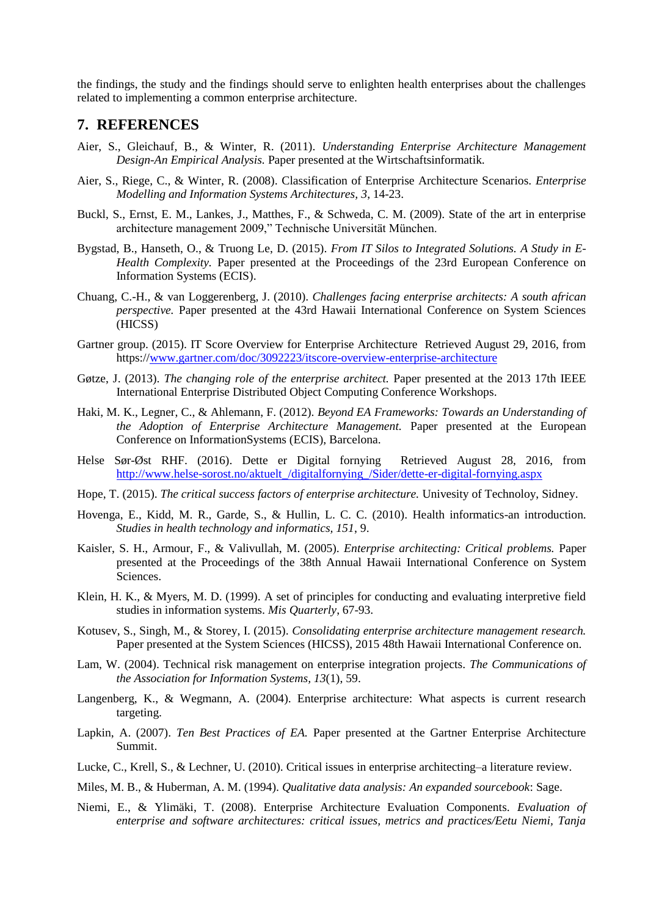the findings, the study and the findings should serve to enlighten health enterprises about the challenges related to implementing a common enterprise architecture.

#### **7. REFERENCES**

- <span id="page-7-5"></span>Aier, S., Gleichauf, B., & Winter, R. (2011). *Understanding Enterprise Architecture Management Design-An Empirical Analysis.* Paper presented at the Wirtschaftsinformatik.
- <span id="page-7-7"></span>Aier, S., Riege, C., & Winter, R. (2008). Classification of Enterprise Architecture Scenarios. *Enterprise Modelling and Information Systems Architectures, 3*, 14-23.
- <span id="page-7-8"></span>Buckl, S., Ernst, E. M., Lankes, J., Matthes, F., & Schweda, C. M. (2009). State of the art in enterprise architecture management 2009," Technische Universität München.
- <span id="page-7-1"></span>Bygstad, B., Hanseth, O., & Truong Le, D. (2015). *From IT Silos to Integrated Solutions. A Study in E-Health Complexity.* Paper presented at the Proceedings of the 23rd European Conference on Information Systems (ECIS).
- <span id="page-7-15"></span>Chuang, C.-H., & van Loggerenberg, J. (2010). *Challenges facing enterprise architects: A south african perspective.* Paper presented at the 43rd Hawaii International Conference on System Sciences (HICSS)
- <span id="page-7-17"></span>Gartner group. (2015). IT Score Overview for Enterprise Architecture Retrieved August 29, 2016, from https:/[/www.gartner.com/doc/3092223/itscore-overview-enterprise-architecture](http://www.gartner.com/doc/3092223/itscore-overview-enterprise-architecture)
- <span id="page-7-14"></span>Gøtze, J. (2013). *The changing role of the enterprise architect.* Paper presented at the 2013 17th IEEE International Enterprise Distributed Object Computing Conference Workshops.
- <span id="page-7-16"></span>Haki, M. K., Legner, C., & Ahlemann, F. (2012). *Beyond EA Frameworks: Towards an Understanding of the Adoption of Enterprise Architecture Management.* Paper presented at the European Conference on InformationSystems (ECIS), Barcelona.
- <span id="page-7-11"></span>Helse Sør-Øst RHF. (2016). Dette er Digital fornying Retrieved August 28, 2016, from [http://www.helse-sorost.no/aktuelt\\_/digitalfornying\\_/Sider/dette-er-digital-fornying.aspx](http://www.helse-sorost.no/aktuelt_/digitalfornying_/Sider/dette-er-digital-fornying.aspx)
- <span id="page-7-2"></span>Hope, T. (2015). *The critical success factors of enterprise architecture.* Univesity of Technoloy, Sidney.
- <span id="page-7-0"></span>Hovenga, E., Kidd, M. R., Garde, S., & Hullin, L. C. C. (2010). Health informatics-an introduction. *Studies in health technology and informatics, 151*, 9.
- <span id="page-7-19"></span>Kaisler, S. H., Armour, F., & Valivullah, M. (2005). *Enterprise architecting: Critical problems.* Paper presented at the Proceedings of the 38th Annual Hawaii International Conference on System Sciences.
- <span id="page-7-12"></span>Klein, H. K., & Myers, M. D. (1999). A set of principles for conducting and evaluating interpretive field studies in information systems. *Mis Quarterly*, 67-93.
- <span id="page-7-6"></span>Kotusev, S., Singh, M., & Storey, I. (2015). *Consolidating enterprise architecture management research.* Paper presented at the System Sciences (HICSS), 2015 48th Hawaii International Conference on.
- <span id="page-7-18"></span>Lam, W. (2004). Technical risk management on enterprise integration projects. *The Communications of the Association for Information Systems, 13*(1), 59.
- <span id="page-7-9"></span>Langenberg, K., & Wegmann, A. (2004). Enterprise architecture: What aspects is current research targeting.
- <span id="page-7-4"></span>Lapkin, A. (2007). *Ten Best Practices of EA.* Paper presented at the Gartner Enterprise Architecture Summit.
- <span id="page-7-10"></span>Lucke, C., Krell, S., & Lechner, U. (2010). Critical issues in enterprise architecting–a literature review.
- <span id="page-7-13"></span>Miles, M. B., & Huberman, A. M. (1994). *Qualitative data analysis: An expanded sourcebook*: Sage.
- <span id="page-7-3"></span>Niemi, E., & Ylimäki, T. (2008). Enterprise Architecture Evaluation Components. *Evaluation of enterprise and software architectures: critical issues, metrics and practices/Eetu Niemi, Tanja*